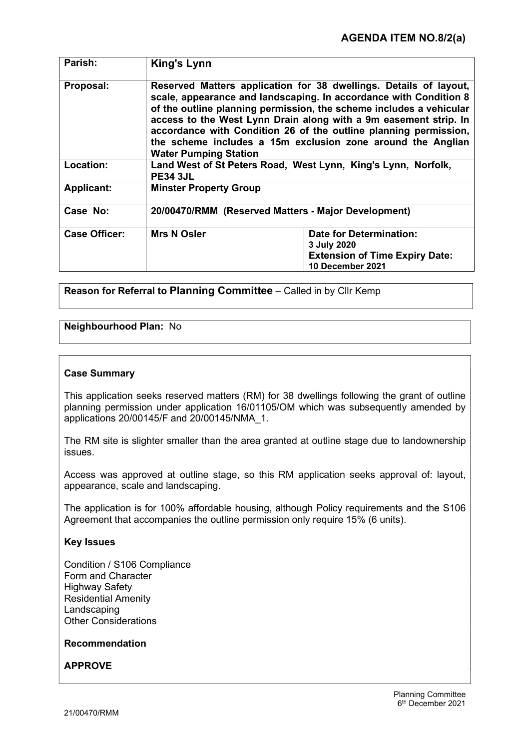| Parish:              | <b>King's Lynn</b>                                                                                                                                                                                                                                                                                                                                                                                                                                   |                                                                                                            |
|----------------------|------------------------------------------------------------------------------------------------------------------------------------------------------------------------------------------------------------------------------------------------------------------------------------------------------------------------------------------------------------------------------------------------------------------------------------------------------|------------------------------------------------------------------------------------------------------------|
| Proposal:            | Reserved Matters application for 38 dwellings. Details of layout,<br>scale, appearance and landscaping. In accordance with Condition 8<br>of the outline planning permission, the scheme includes a vehicular<br>access to the West Lynn Drain along with a 9m easement strip. In<br>accordance with Condition 26 of the outline planning permission,<br>the scheme includes a 15m exclusion zone around the Anglian<br><b>Water Pumping Station</b> |                                                                                                            |
| Location:            | Land West of St Peters Road, West Lynn, King's Lynn, Norfolk,<br><b>PE34 3JL</b>                                                                                                                                                                                                                                                                                                                                                                     |                                                                                                            |
| <b>Applicant:</b>    | <b>Minster Property Group</b>                                                                                                                                                                                                                                                                                                                                                                                                                        |                                                                                                            |
| Case No:             | 20/00470/RMM (Reserved Matters - Major Development)                                                                                                                                                                                                                                                                                                                                                                                                  |                                                                                                            |
| <b>Case Officer:</b> | <b>Mrs N Osler</b>                                                                                                                                                                                                                                                                                                                                                                                                                                   | <b>Date for Determination:</b><br>3 July 2020<br><b>Extension of Time Expiry Date:</b><br>10 December 2021 |

Reason for Referral to Planning Committee – Called in by Cllr Kemp

# Neighbourhood Plan: No

#### Case Summary

This application seeks reserved matters (RM) for 38 dwellings following the grant of outline planning permission under application 16/01105/OM which was subsequently amended by applications 20/00145/F and 20/00145/NMA\_1.

The RM site is slighter smaller than the area granted at outline stage due to landownership issues.

Access was approved at outline stage, so this RM application seeks approval of: layout, appearance, scale and landscaping.

The application is for 100% affordable housing, although Policy requirements and the S106 Agreement that accompanies the outline permission only require 15% (6 units).

#### Key Issues

Condition / S106 Compliance Form and Character Highway Safety Residential Amenity Landscaping Other Considerations

#### Recommendation

APPROVE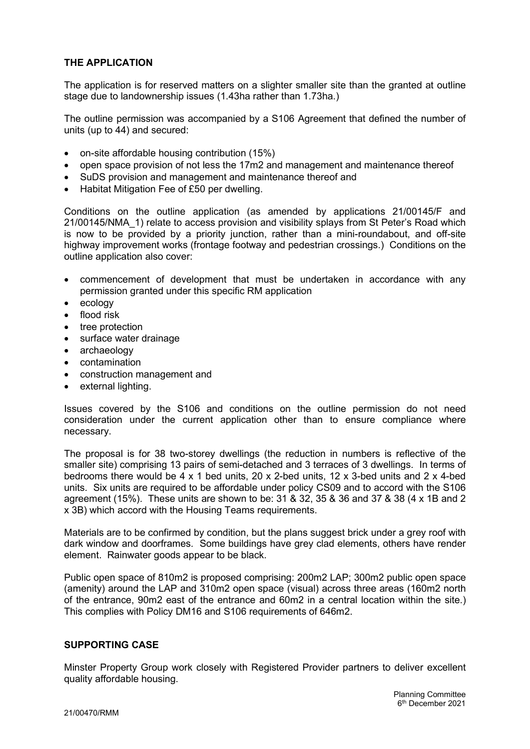# THE APPLICATION

The application is for reserved matters on a slighter smaller site than the granted at outline stage due to landownership issues (1.43ha rather than 1.73ha.)

The outline permission was accompanied by a S106 Agreement that defined the number of units (up to 44) and secured:

- on-site affordable housing contribution (15%)
- open space provision of not less the 17m2 and management and maintenance thereof
- SuDS provision and management and maintenance thereof and
- Habitat Mitigation Fee of £50 per dwelling.

Conditions on the outline application (as amended by applications 21/00145/F and 21/00145/NMA\_1) relate to access provision and visibility splays from St Peter's Road which is now to be provided by a priority junction, rather than a mini-roundabout, and off-site highway improvement works (frontage footway and pedestrian crossings.) Conditions on the outline application also cover:

- commencement of development that must be undertaken in accordance with any permission granted under this specific RM application
- ecology
- flood risk
- tree protection
- surface water drainage
- archaeology
- contamination
- construction management and
- external lighting.

Issues covered by the S106 and conditions on the outline permission do not need consideration under the current application other than to ensure compliance where necessary.

The proposal is for 38 two-storey dwellings (the reduction in numbers is reflective of the smaller site) comprising 13 pairs of semi-detached and 3 terraces of 3 dwellings. In terms of bedrooms there would be 4 x 1 bed units, 20 x 2-bed units, 12 x 3-bed units and 2 x 4-bed units. Six units are required to be affordable under policy CS09 and to accord with the S106 agreement (15%). These units are shown to be: 31 & 32, 35 & 36 and 37 & 38 (4 x 1B and 2 x 3B) which accord with the Housing Teams requirements.

Materials are to be confirmed by condition, but the plans suggest brick under a grey roof with dark window and doorframes. Some buildings have grey clad elements, others have render element. Rainwater goods appear to be black.

Public open space of 810m2 is proposed comprising: 200m2 LAP; 300m2 public open space (amenity) around the LAP and 310m2 open space (visual) across three areas (160m2 north of the entrance, 90m2 east of the entrance and 60m2 in a central location within the site.) This complies with Policy DM16 and S106 requirements of 646m2.

#### SUPPORTING CASE

Minster Property Group work closely with Registered Provider partners to deliver excellent quality affordable housing.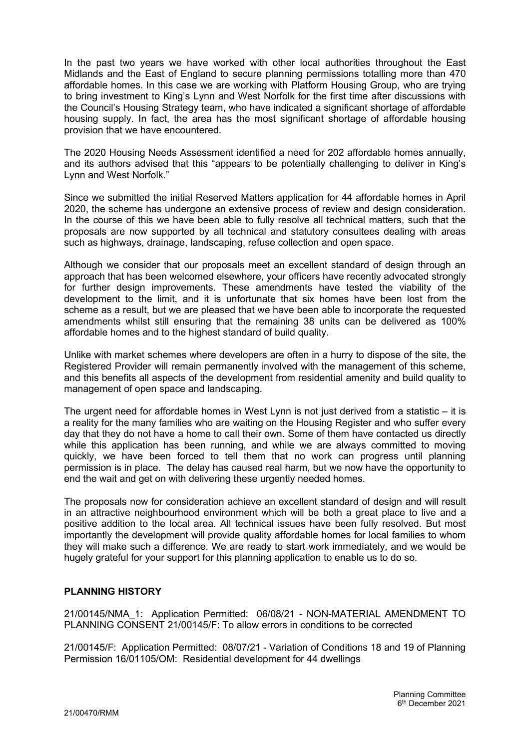In the past two years we have worked with other local authorities throughout the East Midlands and the East of England to secure planning permissions totalling more than 470 affordable homes. In this case we are working with Platform Housing Group, who are trying to bring investment to King's Lynn and West Norfolk for the first time after discussions with the Council's Housing Strategy team, who have indicated a significant shortage of affordable housing supply. In fact, the area has the most significant shortage of affordable housing provision that we have encountered.

The 2020 Housing Needs Assessment identified a need for 202 affordable homes annually, and its authors advised that this "appears to be potentially challenging to deliver in King's Lynn and West Norfolk."

Since we submitted the initial Reserved Matters application for 44 affordable homes in April 2020, the scheme has undergone an extensive process of review and design consideration. In the course of this we have been able to fully resolve all technical matters, such that the proposals are now supported by all technical and statutory consultees dealing with areas such as highways, drainage, landscaping, refuse collection and open space.

Although we consider that our proposals meet an excellent standard of design through an approach that has been welcomed elsewhere, your officers have recently advocated strongly for further design improvements. These amendments have tested the viability of the development to the limit, and it is unfortunate that six homes have been lost from the scheme as a result, but we are pleased that we have been able to incorporate the requested amendments whilst still ensuring that the remaining 38 units can be delivered as 100% affordable homes and to the highest standard of build quality.

Unlike with market schemes where developers are often in a hurry to dispose of the site, the Registered Provider will remain permanently involved with the management of this scheme, and this benefits all aspects of the development from residential amenity and build quality to management of open space and landscaping.

The urgent need for affordable homes in West Lynn is not just derived from a statistic – it is a reality for the many families who are waiting on the Housing Register and who suffer every day that they do not have a home to call their own. Some of them have contacted us directly while this application has been running, and while we are always committed to moving quickly, we have been forced to tell them that no work can progress until planning permission is in place. The delay has caused real harm, but we now have the opportunity to end the wait and get on with delivering these urgently needed homes.

The proposals now for consideration achieve an excellent standard of design and will result in an attractive neighbourhood environment which will be both a great place to live and a positive addition to the local area. All technical issues have been fully resolved. But most importantly the development will provide quality affordable homes for local families to whom they will make such a difference. We are ready to start work immediately, and we would be hugely grateful for your support for this planning application to enable us to do so.

# PLANNING HISTORY

21/00145/NMA\_1: Application Permitted: 06/08/21 - NON-MATERIAL AMENDMENT TO PLANNING CONSENT 21/00145/F: To allow errors in conditions to be corrected

21/00145/F: Application Permitted: 08/07/21 - Variation of Conditions 18 and 19 of Planning Permission 16/01105/OM: Residential development for 44 dwellings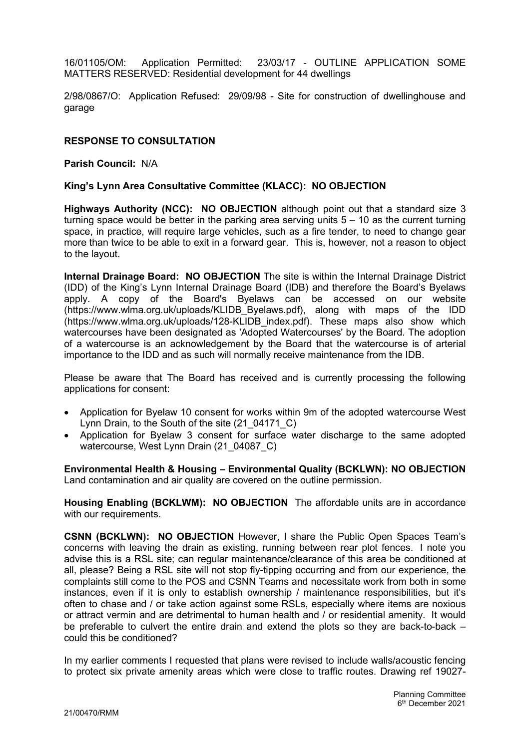16/01105/OM: Application Permitted: 23/03/17 - OUTLINE APPLICATION SOME MATTERS RESERVED: Residential development for 44 dwellings

2/98/0867/O: Application Refused: 29/09/98 - Site for construction of dwellinghouse and garage

## RESPONSE TO CONSULTATION

Parish Council: N/A

#### King's Lynn Area Consultative Committee (KLACC): NO OBJECTION

Highways Authority (NCC): NO OBJECTION although point out that a standard size 3 turning space would be better in the parking area serving units  $5 - 10$  as the current turning space, in practice, will require large vehicles, such as a fire tender, to need to change gear more than twice to be able to exit in a forward gear. This is, however, not a reason to object to the layout.

Internal Drainage Board: NO OBJECTION The site is within the Internal Drainage District (IDD) of the King's Lynn Internal Drainage Board (IDB) and therefore the Board's Byelaws apply. A copy of the Board's Byelaws can be accessed on our website (https://www.wlma.org.uk/uploads/KLIDB\_Byelaws.pdf), along with maps of the IDD (https://www.wlma.org.uk/uploads/128-KLIDB\_index.pdf). These maps also show which watercourses have been designated as 'Adopted Watercourses' by the Board. The adoption of a watercourse is an acknowledgement by the Board that the watercourse is of arterial importance to the IDD and as such will normally receive maintenance from the IDB.

Please be aware that The Board has received and is currently processing the following applications for consent:

- Application for Byelaw 10 consent for works within 9m of the adopted watercourse West Lynn Drain, to the South of the site (21 04171 C)
- Application for Byelaw 3 consent for surface water discharge to the same adopted watercourse, West Lynn Drain (21\_04087\_C)

Environmental Health & Housing – Environmental Quality (BCKLWN): NO OBJECTION Land contamination and air quality are covered on the outline permission.

Housing Enabling (BCKLWM): NO OBJECTION The affordable units are in accordance with our requirements.

CSNN (BCKLWN): NO OBJECTION However, I share the Public Open Spaces Team's concerns with leaving the drain as existing, running between rear plot fences. I note you advise this is a RSL site; can regular maintenance/clearance of this area be conditioned at all, please? Being a RSL site will not stop fly-tipping occurring and from our experience, the complaints still come to the POS and CSNN Teams and necessitate work from both in some instances, even if it is only to establish ownership / maintenance responsibilities, but it's often to chase and / or take action against some RSLs, especially where items are noxious or attract vermin and are detrimental to human health and / or residential amenity. It would be preferable to culvert the entire drain and extend the plots so they are back-to-back – could this be conditioned?

In my earlier comments I requested that plans were revised to include walls/acoustic fencing to protect six private amenity areas which were close to traffic routes. Drawing ref 19027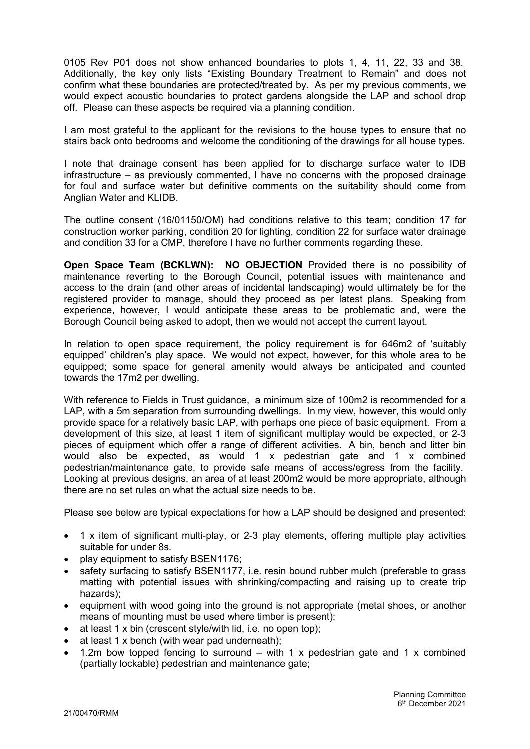0105 Rev P01 does not show enhanced boundaries to plots 1, 4, 11, 22, 33 and 38. Additionally, the key only lists "Existing Boundary Treatment to Remain" and does not confirm what these boundaries are protected/treated by. As per my previous comments, we would expect acoustic boundaries to protect gardens alongside the LAP and school drop off. Please can these aspects be required via a planning condition.

I am most grateful to the applicant for the revisions to the house types to ensure that no stairs back onto bedrooms and welcome the conditioning of the drawings for all house types.

I note that drainage consent has been applied for to discharge surface water to IDB infrastructure – as previously commented, I have no concerns with the proposed drainage for foul and surface water but definitive comments on the suitability should come from Anglian Water and KLIDB.

The outline consent (16/01150/OM) had conditions relative to this team; condition 17 for construction worker parking, condition 20 for lighting, condition 22 for surface water drainage and condition 33 for a CMP, therefore I have no further comments regarding these.

Open Space Team (BCKLWN): NO OBJECTION Provided there is no possibility of maintenance reverting to the Borough Council, potential issues with maintenance and access to the drain (and other areas of incidental landscaping) would ultimately be for the registered provider to manage, should they proceed as per latest plans. Speaking from experience, however, I would anticipate these areas to be problematic and, were the Borough Council being asked to adopt, then we would not accept the current layout.

In relation to open space requirement, the policy requirement is for 646m2 of 'suitably equipped' children's play space. We would not expect, however, for this whole area to be equipped; some space for general amenity would always be anticipated and counted towards the 17m2 per dwelling.

With reference to Fields in Trust guidance, a minimum size of 100m2 is recommended for a LAP, with a 5m separation from surrounding dwellings. In my view, however, this would only provide space for a relatively basic LAP, with perhaps one piece of basic equipment. From a development of this size, at least 1 item of significant multiplay would be expected, or 2-3 pieces of equipment which offer a range of different activities. A bin, bench and litter bin would also be expected, as would 1 x pedestrian gate and 1 x combined pedestrian/maintenance gate, to provide safe means of access/egress from the facility. Looking at previous designs, an area of at least 200m2 would be more appropriate, although there are no set rules on what the actual size needs to be.

Please see below are typical expectations for how a LAP should be designed and presented:

- 1 x item of significant multi-play, or 2-3 play elements, offering multiple play activities suitable for under 8s.
- play equipment to satisfy BSEN1176;
- safety surfacing to satisfy BSEN1177, i.e. resin bound rubber mulch (preferable to grass matting with potential issues with shrinking/compacting and raising up to create trip hazards);
- equipment with wood going into the ground is not appropriate (metal shoes, or another means of mounting must be used where timber is present);
- at least 1 x bin (crescent style/with lid, i.e. no open top);
- at least 1 x bench (with wear pad underneath);
- 1.2m bow topped fencing to surround with 1 x pedestrian gate and 1 x combined (partially lockable) pedestrian and maintenance gate;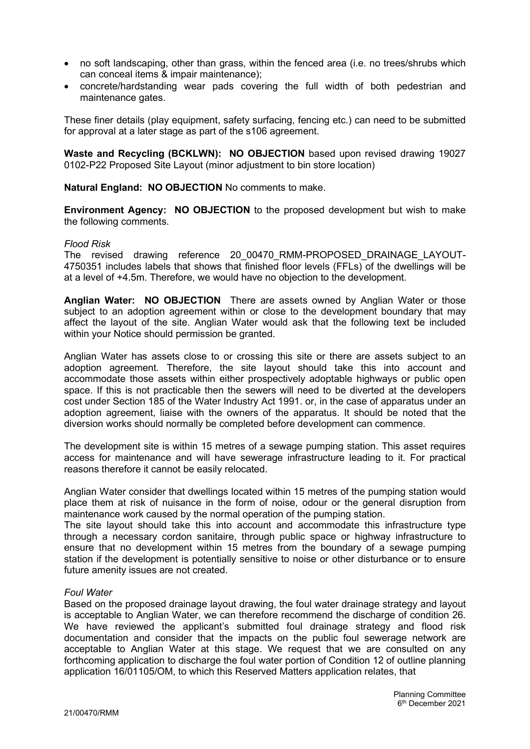- no soft landscaping, other than grass, within the fenced area (i.e. no trees/shrubs which can conceal items & impair maintenance);
- concrete/hardstanding wear pads covering the full width of both pedestrian and maintenance gates.

These finer details (play equipment, safety surfacing, fencing etc.) can need to be submitted for approval at a later stage as part of the s106 agreement.

Waste and Recycling (BCKLWN): NO OBJECTION based upon revised drawing 19027 0102-P22 Proposed Site Layout (minor adjustment to bin store location)

Natural England: NO OBJECTION No comments to make.

Environment Agency: NO OBJECTION to the proposed development but wish to make the following comments.

#### Flood Risk

The revised drawing reference 20\_00470\_RMM-PROPOSED\_DRAINAGE\_LAYOUT-4750351 includes labels that shows that finished floor levels (FFLs) of the dwellings will be at a level of +4.5m. Therefore, we would have no objection to the development.

Anglian Water: NO OBJECTION There are assets owned by Anglian Water or those subject to an adoption agreement within or close to the development boundary that may affect the layout of the site. Anglian Water would ask that the following text be included within your Notice should permission be granted.

Anglian Water has assets close to or crossing this site or there are assets subject to an adoption agreement. Therefore, the site layout should take this into account and accommodate those assets within either prospectively adoptable highways or public open space. If this is not practicable then the sewers will need to be diverted at the developers cost under Section 185 of the Water Industry Act 1991. or, in the case of apparatus under an adoption agreement, liaise with the owners of the apparatus. It should be noted that the diversion works should normally be completed before development can commence.

The development site is within 15 metres of a sewage pumping station. This asset requires access for maintenance and will have sewerage infrastructure leading to it. For practical reasons therefore it cannot be easily relocated.

Anglian Water consider that dwellings located within 15 metres of the pumping station would place them at risk of nuisance in the form of noise, odour or the general disruption from maintenance work caused by the normal operation of the pumping station.

The site layout should take this into account and accommodate this infrastructure type through a necessary cordon sanitaire, through public space or highway infrastructure to ensure that no development within 15 metres from the boundary of a sewage pumping station if the development is potentially sensitive to noise or other disturbance or to ensure future amenity issues are not created.

#### Foul Water

Based on the proposed drainage layout drawing, the foul water drainage strategy and layout is acceptable to Anglian Water, we can therefore recommend the discharge of condition 26. We have reviewed the applicant's submitted foul drainage strategy and flood risk documentation and consider that the impacts on the public foul sewerage network are acceptable to Anglian Water at this stage. We request that we are consulted on any forthcoming application to discharge the foul water portion of Condition 12 of outline planning application 16/01105/OM, to which this Reserved Matters application relates, that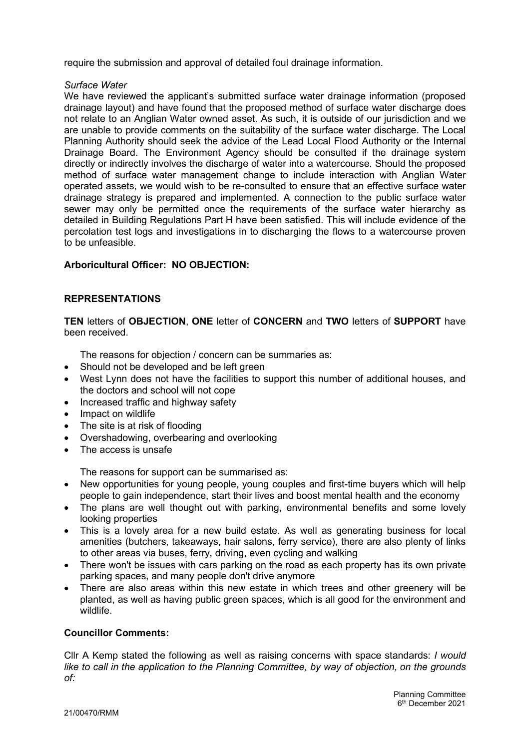require the submission and approval of detailed foul drainage information.

#### Surface Water

We have reviewed the applicant's submitted surface water drainage information (proposed drainage layout) and have found that the proposed method of surface water discharge does not relate to an Anglian Water owned asset. As such, it is outside of our jurisdiction and we are unable to provide comments on the suitability of the surface water discharge. The Local Planning Authority should seek the advice of the Lead Local Flood Authority or the Internal Drainage Board. The Environment Agency should be consulted if the drainage system directly or indirectly involves the discharge of water into a watercourse. Should the proposed method of surface water management change to include interaction with Anglian Water operated assets, we would wish to be re-consulted to ensure that an effective surface water drainage strategy is prepared and implemented. A connection to the public surface water sewer may only be permitted once the requirements of the surface water hierarchy as detailed in Building Regulations Part H have been satisfied. This will include evidence of the percolation test logs and investigations in to discharging the flows to a watercourse proven to be unfeasible.

# Arboricultural Officer: NO OBJECTION:

# REPRESENTATIONS

TEN letters of OBJECTION, ONE letter of CONCERN and TWO letters of SUPPORT have been received.

The reasons for objection / concern can be summaries as:

- Should not be developed and be left green
- West Lynn does not have the facilities to support this number of additional houses, and the doctors and school will not cope
- Increased traffic and highway safety
- Impact on wildlife
- The site is at risk of flooding
- Overshadowing, overbearing and overlooking
- The access is unsafe

The reasons for support can be summarised as:

- New opportunities for young people, young couples and first-time buyers which will help people to gain independence, start their lives and boost mental health and the economy
- The plans are well thought out with parking, environmental benefits and some lovely looking properties
- This is a lovely area for a new build estate. As well as generating business for local amenities (butchers, takeaways, hair salons, ferry service), there are also plenty of links to other areas via buses, ferry, driving, even cycling and walking
- There won't be issues with cars parking on the road as each property has its own private parking spaces, and many people don't drive anymore
- There are also areas within this new estate in which trees and other greenery will be planted, as well as having public green spaces, which is all good for the environment and wildlife.

## Councillor Comments:

Cllr A Kemp stated the following as well as raising concerns with space standards: I would like to call in the application to the Planning Committee, by way of objection, on the grounds of: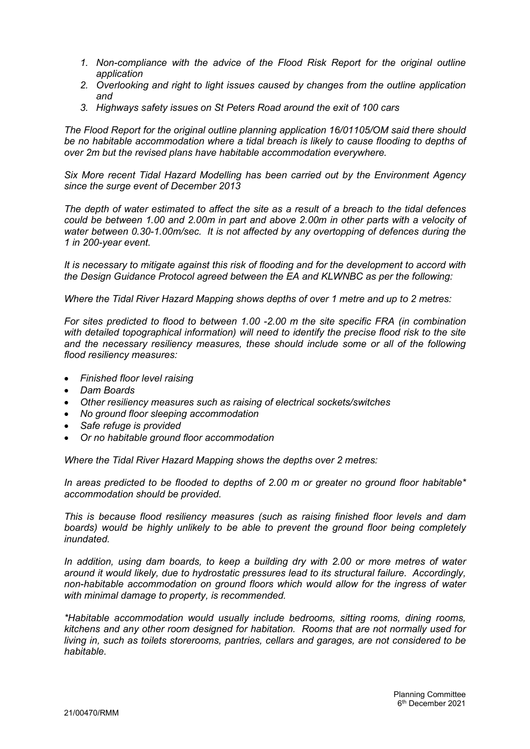- 1. Non-compliance with the advice of the Flood Risk Report for the original outline application
- 2. Overlooking and right to light issues caused by changes from the outline application and
- 3. Highways safety issues on St Peters Road around the exit of 100 cars

The Flood Report for the original outline planning application 16/01105/OM said there should be no habitable accommodation where a tidal breach is likely to cause flooding to depths of over 2m but the revised plans have habitable accommodation everywhere.

Six More recent Tidal Hazard Modelling has been carried out by the Environment Agency since the surge event of December 2013

The depth of water estimated to affect the site as a result of a breach to the tidal defences could be between 1.00 and 2.00m in part and above 2.00m in other parts with a velocity of water between 0.30-1.00m/sec. It is not affected by any overtopping of defences during the 1 in 200-year event.

It is necessary to mitigate against this risk of flooding and for the development to accord with the Design Guidance Protocol agreed between the EA and KLWNBC as per the following:

Where the Tidal River Hazard Mapping shows depths of over 1 metre and up to 2 metres:

For sites predicted to flood to between 1.00 -2.00 m the site specific FRA (in combination with detailed topographical information) will need to identify the precise flood risk to the site and the necessary resiliency measures, these should include some or all of the following flood resiliency measures:

- Finished floor level raising
- Dam Boards
- Other resiliency measures such as raising of electrical sockets/switches
- No ground floor sleeping accommodation
- Safe refuge is provided
- Or no habitable ground floor accommodation

Where the Tidal River Hazard Mapping shows the depths over 2 metres:

In areas predicted to be flooded to depths of 2.00 m or greater no ground floor habitable\* accommodation should be provided.

This is because flood resiliency measures (such as raising finished floor levels and dam boards) would be highly unlikely to be able to prevent the ground floor being completely inundated.

In addition, using dam boards, to keep a building dry with 2.00 or more metres of water around it would likely, due to hydrostatic pressures lead to its structural failure. Accordingly, non-habitable accommodation on ground floors which would allow for the ingress of water with minimal damage to property, is recommended.

\*Habitable accommodation would usually include bedrooms, sitting rooms, dining rooms, kitchens and any other room designed for habitation. Rooms that are not normally used for living in, such as toilets storerooms, pantries, cellars and garages, are not considered to be habitable.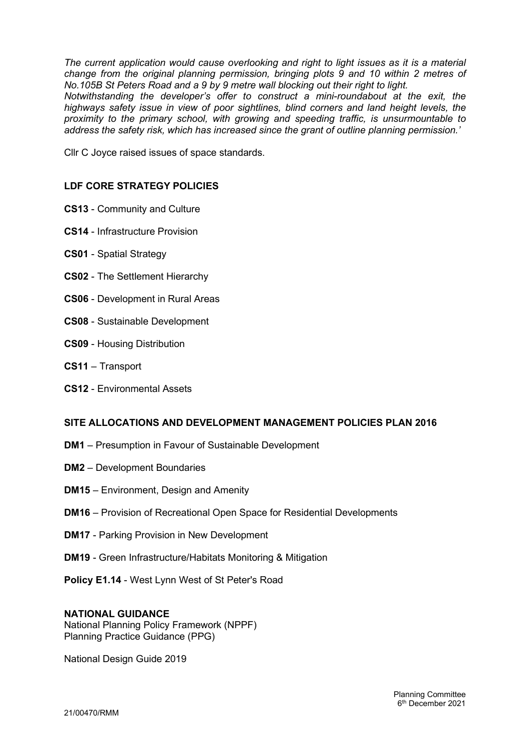The current application would cause overlooking and right to light issues as it is a material change from the original planning permission, bringing plots 9 and 10 within 2 metres of No.105B St Peters Road and a 9 by 9 metre wall blocking out their right to light.

Notwithstanding the developer's offer to construct a mini-roundabout at the exit, the highways safety issue in view of poor sightlines, blind corners and land height levels, the proximity to the primary school, with growing and speeding traffic, is unsurmountable to address the safety risk, which has increased since the grant of outline planning permission.'

Cllr C Joyce raised issues of space standards.

## LDF CORE STRATEGY POLICIES

- CS13 Community and Culture
- CS14 Infrastructure Provision
- CS01 Spatial Strategy
- CS02 The Settlement Hierarchy
- CS06 Development in Rural Areas
- CS08 Sustainable Development
- CS09 Housing Distribution
- CS11 Transport
- CS12 Environmental Assets

## SITE ALLOCATIONS AND DEVELOPMENT MANAGEMENT POLICIES PLAN 2016

- DM1 Presumption in Favour of Sustainable Development
- DM2 Development Boundaries
- DM15 Environment, Design and Amenity
- DM16 Provision of Recreational Open Space for Residential Developments
- DM17 Parking Provision in New Development
- DM19 Green Infrastructure/Habitats Monitoring & Mitigation
- Policy E1.14 West Lynn West of St Peter's Road

#### NATIONAL GUIDANCE

National Planning Policy Framework (NPPF) Planning Practice Guidance (PPG)

National Design Guide 2019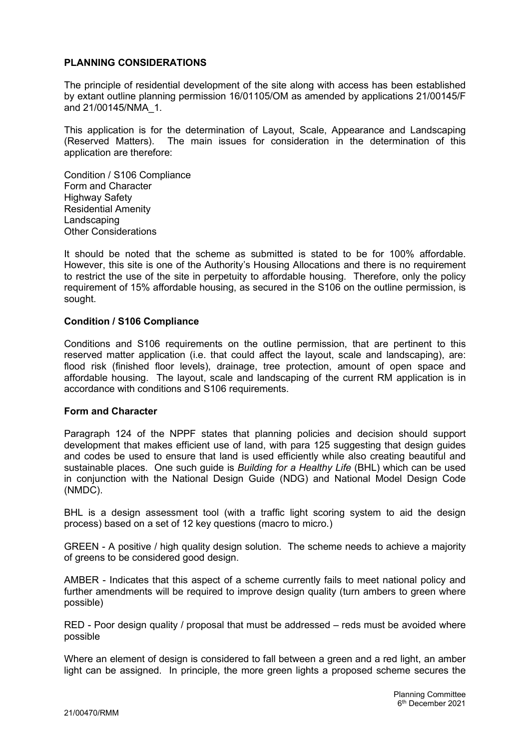## PLANNING CONSIDERATIONS

The principle of residential development of the site along with access has been established by extant outline planning permission 16/01105/OM as amended by applications 21/00145/F and 21/00145/NMA\_1.

This application is for the determination of Layout, Scale, Appearance and Landscaping (Reserved Matters). The main issues for consideration in the determination of this application are therefore:

Condition / S106 Compliance Form and Character Highway Safety Residential Amenity Landscaping Other Considerations

It should be noted that the scheme as submitted is stated to be for 100% affordable. However, this site is one of the Authority's Housing Allocations and there is no requirement to restrict the use of the site in perpetuity to affordable housing. Therefore, only the policy requirement of 15% affordable housing, as secured in the S106 on the outline permission, is sought.

#### Condition / S106 Compliance

Conditions and S106 requirements on the outline permission, that are pertinent to this reserved matter application (i.e. that could affect the layout, scale and landscaping), are: flood risk (finished floor levels), drainage, tree protection, amount of open space and affordable housing. The layout, scale and landscaping of the current RM application is in accordance with conditions and S106 requirements.

#### Form and Character

Paragraph 124 of the NPPF states that planning policies and decision should support development that makes efficient use of land, with para 125 suggesting that design guides and codes be used to ensure that land is used efficiently while also creating beautiful and sustainable places. One such guide is Building for a Healthy Life (BHL) which can be used in conjunction with the National Design Guide (NDG) and National Model Design Code (NMDC).

BHL is a design assessment tool (with a traffic light scoring system to aid the design process) based on a set of 12 key questions (macro to micro.)

GREEN - A positive / high quality design solution. The scheme needs to achieve a majority of greens to be considered good design.

AMBER - Indicates that this aspect of a scheme currently fails to meet national policy and further amendments will be required to improve design quality (turn ambers to green where possible)

RED - Poor design quality / proposal that must be addressed – reds must be avoided where possible

Where an element of design is considered to fall between a green and a red light, an amber light can be assigned. In principle, the more green lights a proposed scheme secures the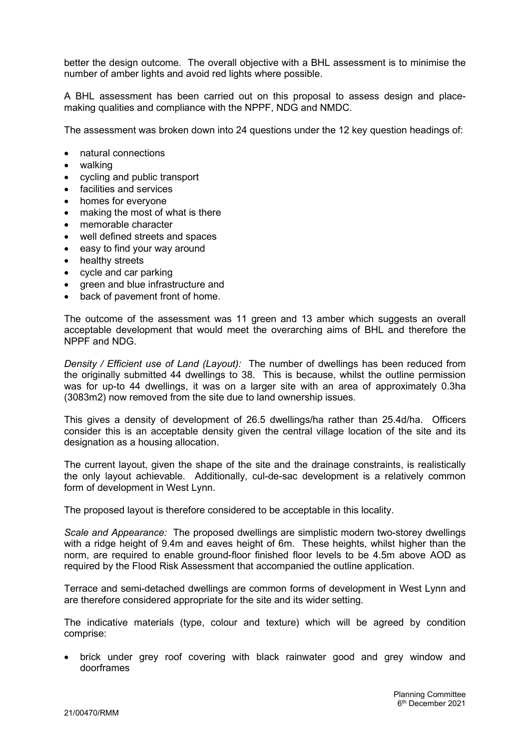better the design outcome. The overall objective with a BHL assessment is to minimise the number of amber lights and avoid red lights where possible.

A BHL assessment has been carried out on this proposal to assess design and placemaking qualities and compliance with the NPPF, NDG and NMDC.

The assessment was broken down into 24 questions under the 12 key question headings of:

- natural connections
- walking
- cycling and public transport
- facilities and services
- homes for everyone
- making the most of what is there
- memorable character
- well defined streets and spaces
- easy to find your way around
- healthy streets
- cycle and car parking
- green and blue infrastructure and
- back of pavement front of home.

The outcome of the assessment was 11 green and 13 amber which suggests an overall acceptable development that would meet the overarching aims of BHL and therefore the NPPF and NDG.

Density / Efficient use of Land (Layout): The number of dwellings has been reduced from the originally submitted 44 dwellings to 38. This is because, whilst the outline permission was for up-to 44 dwellings, it was on a larger site with an area of approximately 0.3ha (3083m2) now removed from the site due to land ownership issues.

This gives a density of development of 26.5 dwellings/ha rather than 25.4d/ha. Officers consider this is an acceptable density given the central village location of the site and its designation as a housing allocation.

The current layout, given the shape of the site and the drainage constraints, is realistically the only layout achievable. Additionally, cul-de-sac development is a relatively common form of development in West Lynn.

The proposed layout is therefore considered to be acceptable in this locality.

Scale and Appearance: The proposed dwellings are simplistic modern two-storey dwellings with a ridge height of 9.4m and eaves height of 6m. These heights, whilst higher than the norm, are required to enable ground-floor finished floor levels to be 4.5m above AOD as required by the Flood Risk Assessment that accompanied the outline application.

Terrace and semi-detached dwellings are common forms of development in West Lynn and are therefore considered appropriate for the site and its wider setting.

The indicative materials (type, colour and texture) which will be agreed by condition comprise:

 brick under grey roof covering with black rainwater good and grey window and doorframes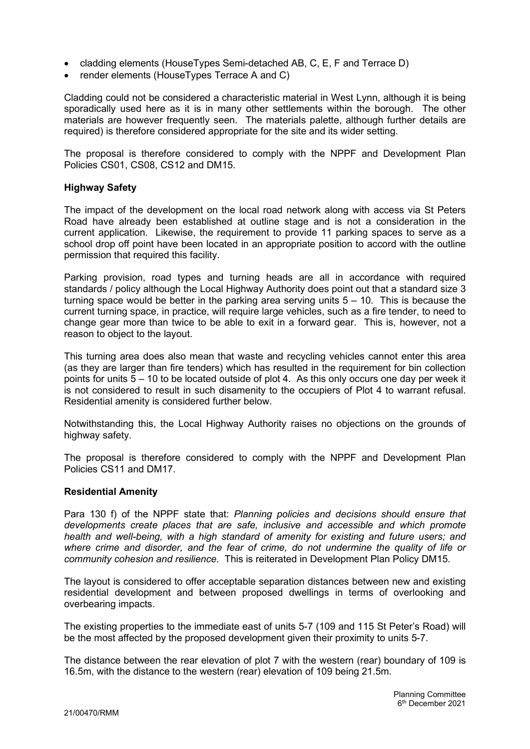- cladding elements (HouseTypes Semi-detached AB, C, E, F and Terrace D)
- render elements (HouseTypes Terrace A and C)

Cladding could not be considered a characteristic material in West Lynn, although it is being sporadically used here as it is in many other settlements within the borough. The other materials are however frequently seen. The materials palette, although further details are required) is therefore considered appropriate for the site and its wider setting.

The proposal is therefore considered to comply with the NPPF and Development Plan Policies CS01, CS08, CS12 and DM15.

## Highway Safety

The impact of the development on the local road network along with access via St Peters Road have already been established at outline stage and is not a consideration in the current application. Likewise, the requirement to provide 11 parking spaces to serve as a school drop off point have been located in an appropriate position to accord with the outline permission that required this facility.

Parking provision, road types and turning heads are all in accordance with required standards / policy although the Local Highway Authority does point out that a standard size 3 turning space would be better in the parking area serving units  $5 - 10$ . This is because the current turning space, in practice, will require large vehicles, such as a fire tender, to need to change gear more than twice to be able to exit in a forward gear. This is, however, not a reason to object to the layout.

This turning area does also mean that waste and recycling vehicles cannot enter this area (as they are larger than fire tenders) which has resulted in the requirement for bin collection points for units  $5 - 10$  to be located outside of plot 4. As this only occurs one day per week it is not considered to result in such disamenity to the occupiers of Plot 4 to warrant refusal. Residential amenity is considered further below.

Notwithstanding this, the Local Highway Authority raises no objections on the grounds of highway safety.

The proposal is therefore considered to comply with the NPPF and Development Plan Policies CS11 and DM17.

## Residential Amenity

Para 130 f) of the NPPF state that: Planning policies and decisions should ensure that developments create places that are safe, inclusive and accessible and which promote health and well-being, with a high standard of amenity for existing and future users; and where crime and disorder, and the fear of crime, do not undermine the quality of life or community cohesion and resilience. This is reiterated in Development Plan Policy DM15.

The layout is considered to offer acceptable separation distances between new and existing residential development and between proposed dwellings in terms of overlooking and overbearing impacts.

The existing properties to the immediate east of units 5-7 (109 and 115 St Peter's Road) will be the most affected by the proposed development given their proximity to units 5-7.

The distance between the rear elevation of plot 7 with the western (rear) boundary of 109 is 16.5m, with the distance to the western (rear) elevation of 109 being 21.5m.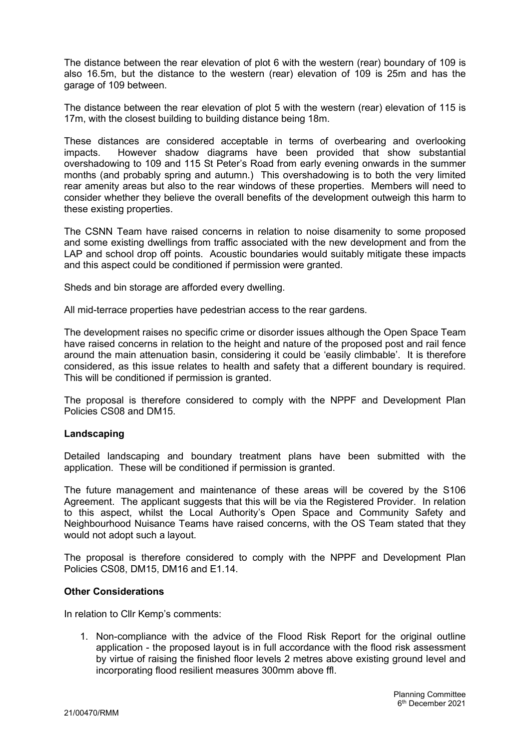The distance between the rear elevation of plot 6 with the western (rear) boundary of 109 is also 16.5m, but the distance to the western (rear) elevation of 109 is 25m and has the garage of 109 between.

The distance between the rear elevation of plot 5 with the western (rear) elevation of 115 is 17m, with the closest building to building distance being 18m.

These distances are considered acceptable in terms of overbearing and overlooking impacts. However shadow diagrams have been provided that show substantial overshadowing to 109 and 115 St Peter's Road from early evening onwards in the summer months (and probably spring and autumn.) This overshadowing is to both the very limited rear amenity areas but also to the rear windows of these properties. Members will need to consider whether they believe the overall benefits of the development outweigh this harm to these existing properties.

The CSNN Team have raised concerns in relation to noise disamenity to some proposed and some existing dwellings from traffic associated with the new development and from the LAP and school drop off points. Acoustic boundaries would suitably mitigate these impacts and this aspect could be conditioned if permission were granted.

Sheds and bin storage are afforded every dwelling.

All mid-terrace properties have pedestrian access to the rear gardens.

The development raises no specific crime or disorder issues although the Open Space Team have raised concerns in relation to the height and nature of the proposed post and rail fence around the main attenuation basin, considering it could be 'easily climbable'. It is therefore considered, as this issue relates to health and safety that a different boundary is required. This will be conditioned if permission is granted.

The proposal is therefore considered to comply with the NPPF and Development Plan Policies CS08 and DM15.

## Landscaping

Detailed landscaping and boundary treatment plans have been submitted with the application. These will be conditioned if permission is granted.

The future management and maintenance of these areas will be covered by the S106 Agreement. The applicant suggests that this will be via the Registered Provider. In relation to this aspect, whilst the Local Authority's Open Space and Community Safety and Neighbourhood Nuisance Teams have raised concerns, with the OS Team stated that they would not adopt such a layout.

The proposal is therefore considered to comply with the NPPF and Development Plan Policies CS08, DM15, DM16 and E1.14.

## Other Considerations

In relation to Cllr Kemp's comments:

1. Non-compliance with the advice of the Flood Risk Report for the original outline application - the proposed layout is in full accordance with the flood risk assessment by virtue of raising the finished floor levels 2 metres above existing ground level and incorporating flood resilient measures 300mm above ffl.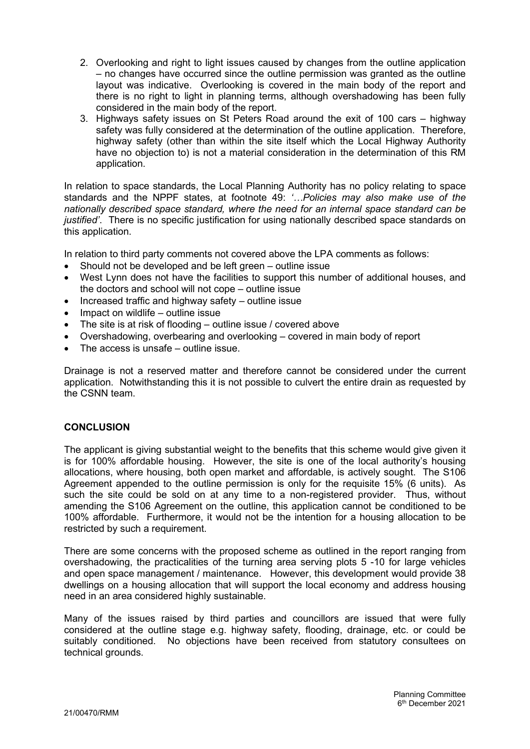- 2. Overlooking and right to light issues caused by changes from the outline application – no changes have occurred since the outline permission was granted as the outline layout was indicative. Overlooking is covered in the main body of the report and there is no right to light in planning terms, although overshadowing has been fully considered in the main body of the report.
- 3. Highways safety issues on St Peters Road around the exit of 100 cars highway safety was fully considered at the determination of the outline application. Therefore, highway safety (other than within the site itself which the Local Highway Authority have no objection to) is not a material consideration in the determination of this RM application.

In relation to space standards, the Local Planning Authority has no policy relating to space standards and the NPPF states, at footnote 49: '…Policies may also make use of the nationally described space standard, where the need for an internal space standard can be justified'. There is no specific justification for using nationally described space standards on this application.

In relation to third party comments not covered above the LPA comments as follows:

- Should not be developed and be left green outline issue
- West Lynn does not have the facilities to support this number of additional houses, and the doctors and school will not cope – outline issue
- $\bullet$  Increased traffic and highway safety outline issue
- $\bullet$  Impact on wildlife outline issue
- The site is at risk of flooding outline issue / covered above
- Overshadowing, overbearing and overlooking covered in main body of report
- The access is unsafe outline issue.

Drainage is not a reserved matter and therefore cannot be considered under the current application. Notwithstanding this it is not possible to culvert the entire drain as requested by the CSNN team.

## **CONCLUSION**

The applicant is giving substantial weight to the benefits that this scheme would give given it is for 100% affordable housing. However, the site is one of the local authority's housing allocations, where housing, both open market and affordable, is actively sought. The S106 Agreement appended to the outline permission is only for the requisite 15% (6 units). As such the site could be sold on at any time to a non-registered provider. Thus, without amending the S106 Agreement on the outline, this application cannot be conditioned to be 100% affordable. Furthermore, it would not be the intention for a housing allocation to be restricted by such a requirement.

There are some concerns with the proposed scheme as outlined in the report ranging from overshadowing, the practicalities of the turning area serving plots 5 -10 for large vehicles and open space management / maintenance. However, this development would provide 38 dwellings on a housing allocation that will support the local economy and address housing need in an area considered highly sustainable.

Many of the issues raised by third parties and councillors are issued that were fully considered at the outline stage e.g. highway safety, flooding, drainage, etc. or could be suitably conditioned. No objections have been received from statutory consultees on technical grounds.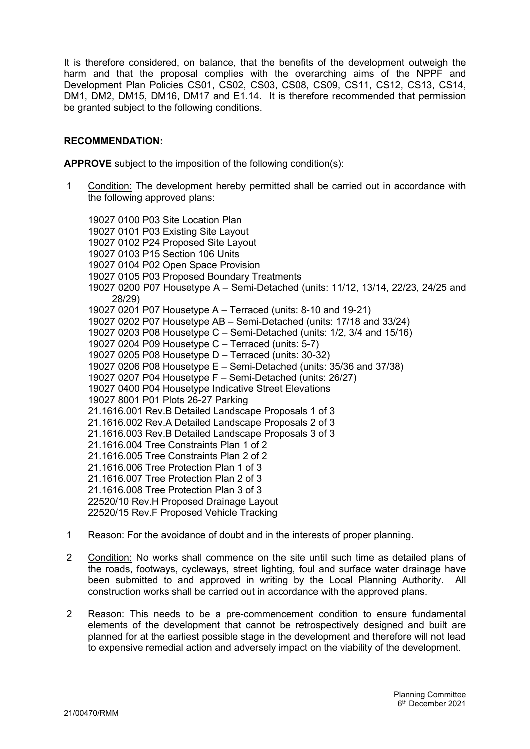It is therefore considered, on balance, that the benefits of the development outweigh the harm and that the proposal complies with the overarching aims of the NPPF and Development Plan Policies CS01, CS02, CS03, CS08, CS09, CS11, CS12, CS13, CS14, DM1, DM2, DM15, DM16, DM17 and E1.14. It is therefore recommended that permission be granted subject to the following conditions.

## RECOMMENDATION:

APPROVE subject to the imposition of the following condition(s):

1 Condition: The development hereby permitted shall be carried out in accordance with the following approved plans:

19027 0100 P03 Site Location Plan 19027 0101 P03 Existing Site Layout 19027 0102 P24 Proposed Site Layout 19027 0103 P15 Section 106 Units 19027 0104 P02 Open Space Provision 19027 0105 P03 Proposed Boundary Treatments 19027 0200 P07 Housetype A – Semi-Detached (units: 11/12, 13/14, 22/23, 24/25 and 28/29) 19027 0201 P07 Housetype A – Terraced (units: 8-10 and 19-21) 19027 0202 P07 Housetype AB – Semi-Detached (units: 17/18 and 33/24) 19027 0203 P08 Housetype C – Semi-Detached (units: 1/2, 3/4 and 15/16) 19027 0204 P09 Housetype C – Terraced (units: 5-7) 19027 0205 P08 Housetype D – Terraced (units: 30-32) 19027 0206 P08 Housetype E – Semi-Detached (units: 35/36 and 37/38) 19027 0207 P04 Housetype F – Semi-Detached (units: 26/27) 19027 0400 P04 Housetype Indicative Street Elevations 19027 8001 P01 Plots 26-27 Parking 21.1616.001 Rev.B Detailed Landscape Proposals 1 of 3 21.1616.002 Rev.A Detailed Landscape Proposals 2 of 3 21.1616.003 Rev.B Detailed Landscape Proposals 3 of 3 21.1616.004 Tree Constraints Plan 1 of 2 21.1616.005 Tree Constraints Plan 2 of 2 21.1616.006 Tree Protection Plan 1 of 3 21.1616.007 Tree Protection Plan 2 of 3 21.1616.008 Tree Protection Plan 3 of 3 22520/10 Rev.H Proposed Drainage Layout 22520/15 Rev.F Proposed Vehicle Tracking

- 1 Reason: For the avoidance of doubt and in the interests of proper planning.
- 2 Condition: No works shall commence on the site until such time as detailed plans of the roads, footways, cycleways, street lighting, foul and surface water drainage have been submitted to and approved in writing by the Local Planning Authority. All construction works shall be carried out in accordance with the approved plans.
- 2 Reason: This needs to be a pre-commencement condition to ensure fundamental elements of the development that cannot be retrospectively designed and built are planned for at the earliest possible stage in the development and therefore will not lead to expensive remedial action and adversely impact on the viability of the development.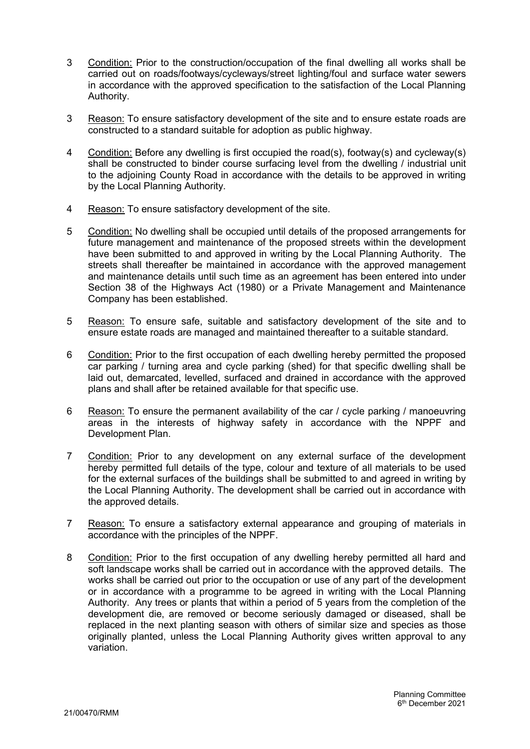- 3 Condition: Prior to the construction/occupation of the final dwelling all works shall be carried out on roads/footways/cycleways/street lighting/foul and surface water sewers in accordance with the approved specification to the satisfaction of the Local Planning Authority.
- 3 Reason: To ensure satisfactory development of the site and to ensure estate roads are constructed to a standard suitable for adoption as public highway.
- 4 Condition: Before any dwelling is first occupied the road(s), footway(s) and cycleway(s) shall be constructed to binder course surfacing level from the dwelling / industrial unit to the adjoining County Road in accordance with the details to be approved in writing by the Local Planning Authority.
- 4 Reason: To ensure satisfactory development of the site.
- 5 Condition: No dwelling shall be occupied until details of the proposed arrangements for future management and maintenance of the proposed streets within the development have been submitted to and approved in writing by the Local Planning Authority. The streets shall thereafter be maintained in accordance with the approved management and maintenance details until such time as an agreement has been entered into under Section 38 of the Highways Act (1980) or a Private Management and Maintenance Company has been established.
- 5 Reason: To ensure safe, suitable and satisfactory development of the site and to ensure estate roads are managed and maintained thereafter to a suitable standard.
- 6 Condition: Prior to the first occupation of each dwelling hereby permitted the proposed car parking / turning area and cycle parking (shed) for that specific dwelling shall be laid out, demarcated, levelled, surfaced and drained in accordance with the approved plans and shall after be retained available for that specific use.
- 6 Reason: To ensure the permanent availability of the car / cycle parking / manoeuvring areas in the interests of highway safety in accordance with the NPPF and Development Plan.
- 7 Condition: Prior to any development on any external surface of the development hereby permitted full details of the type, colour and texture of all materials to be used for the external surfaces of the buildings shall be submitted to and agreed in writing by the Local Planning Authority. The development shall be carried out in accordance with the approved details.
- 7 Reason: To ensure a satisfactory external appearance and grouping of materials in accordance with the principles of the NPPF.
- 8 Condition: Prior to the first occupation of any dwelling hereby permitted all hard and soft landscape works shall be carried out in accordance with the approved details. The works shall be carried out prior to the occupation or use of any part of the development or in accordance with a programme to be agreed in writing with the Local Planning Authority. Any trees or plants that within a period of 5 years from the completion of the development die, are removed or become seriously damaged or diseased, shall be replaced in the next planting season with others of similar size and species as those originally planted, unless the Local Planning Authority gives written approval to any variation.